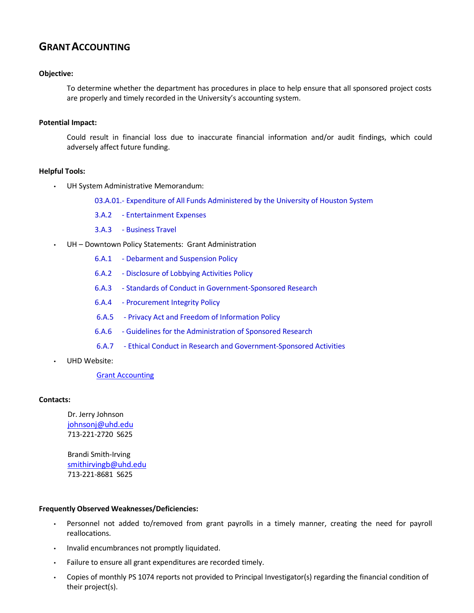# **GRANTACCOUNTING**

#### **Objective:**

To determine whether the department has procedures in place to help ensure that all sponsored project costs are properly and timely recorded in the University's accounting system.

#### **Potential Impact:**

Could result in financial loss due to inaccurate financial information and/or audit findings, which could adversely affect future funding.

### **Helpful Tools:**

- UH System Administrative Memorandum:
	- 03.A.01.- Expenditure of All Funds [Administered by the](http://www.uhsa.uh.edu/sam/3FicsalAffairs/3A1.pdf) University of Houston System
	- 3.A.2 Entertainment Expenses
	- 3.A.3 Business Travel
- UH Downtown Policy Statements: Grant Administration
	- 6.A.1 Debarment and [Suspension Policy](http://www.uhd.edu/about/hr/PS06A01.pdf)
	- 6.A.2 [Disclosure of](http://www.uhd.edu/about/hr/PS06A02.pdf) Lobbying Activities Policy
	- 6.A.3 Standards of Conduct in [Government-Sponsored Research](http://www.uhd.edu/about/hr/PS06A03.pdf)
	- 6.A.4 Procurement [Integrity Policy](http://www.uhd.edu/about/hr/PS06A04.pdf)
	- 6.A.5 Privacy Act and Freedom [of Information Policy](http://www.uhd.edu/about/hr/PS06A05.pdf)
	- 6.A.6 Guidelines for the [Administration of Sponsored](http://www.uhd.edu/about/hr/PS06A06.pdf) Research
	- 6.A.7 Ethical Conduct in Research and [Government-Sponsored Activities](http://www.uhd.edu/about/hr/PS06A07.pdf)
- UHD Website:

#### Grant [Accounting](http://www.uhd.edu/facultyandstaff/busaff/GrantAccounting.html)

#### **Contacts:**

Dr. Jerry Johnson [johnsonj@uhd.edu](mailto:johnsonj@uhd.edu) 713-221-2720 S625

Brandi Smith-Irving [smithirvingb@uhd.edu](mailto:smithirvingb@uhd.edu) 713-221-8681 S625

#### **Frequently Observed Weaknesses/Deficiencies:**

- Personnel not added to/removed from grant payrolls in a timely manner, creating the need for payroll reallocations.
- Invalid encumbrances not promptly liquidated.
- Failure to ensure all grant expenditures are recorded timely.
- Copies of monthly PS 1074 reports not provided to Principal Investigator(s) regarding the financial condition of their project(s).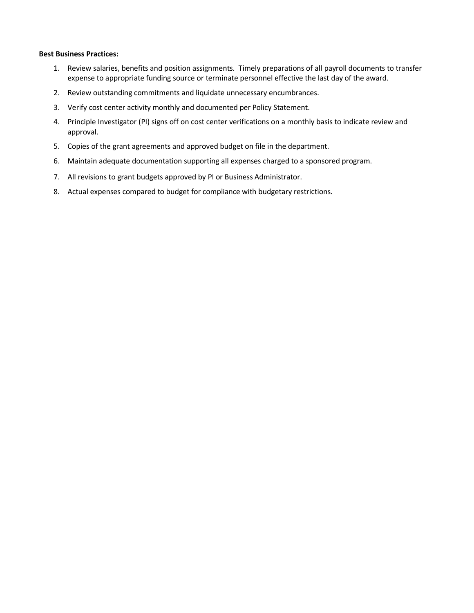#### **Best Business Practices:**

- 1. Review salaries, benefits and position assignments. Timely preparations of all payroll documents to transfer expense to appropriate funding source or terminate personnel effective the last day of the award.
- 2. Review outstanding commitments and liquidate unnecessary encumbrances.
- 3. Verify cost center activity monthly and documented per Policy Statement.
- 4. Principle Investigator (PI) signs off on cost center verifications on a monthly basis to indicate review and approval.
- 5. Copies of the grant agreements and approved budget on file in the department.
- 6. Maintain adequate documentation supporting all expenses charged to a sponsored program.
- 7. All revisions to grant budgets approved by PI or Business Administrator.
- 8. Actual expenses compared to budget for compliance with budgetary restrictions.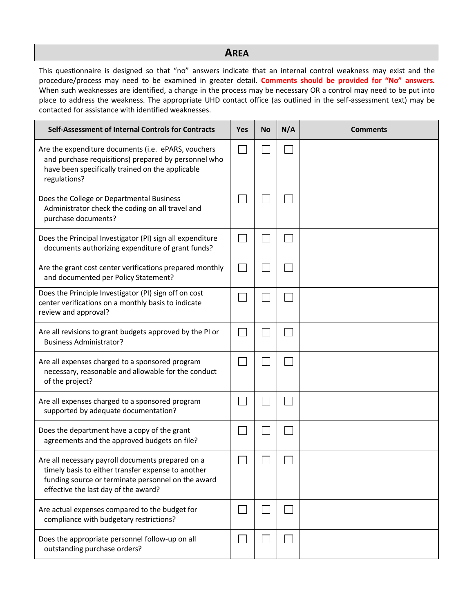## **AREA**

This questionnaire is designed so that "no" answers indicate that an internal control weakness may exist and the procedure/process may need to be examined in greater detail. **Comments should be provided for "No" answers.**  When such weaknesses are identified, a change in the process may be necessary OR a control may need to be put into place to address the weakness. The appropriate UHD contact office (as outlined in the self-assessment text) may be contacted for assistance with identified weaknesses.

| Self-Assessment of Internal Controls for Contracts                                                                                                                                                    | <b>Yes</b> | <b>No</b> | N/A | <b>Comments</b> |
|-------------------------------------------------------------------------------------------------------------------------------------------------------------------------------------------------------|------------|-----------|-----|-----------------|
| Are the expenditure documents (i.e. ePARS, vouchers<br>and purchase requisitions) prepared by personnel who<br>have been specifically trained on the applicable<br>regulations?                       |            |           |     |                 |
| Does the College or Departmental Business<br>Administrator check the coding on all travel and<br>purchase documents?                                                                                  |            |           |     |                 |
| Does the Principal Investigator (PI) sign all expenditure<br>documents authorizing expenditure of grant funds?                                                                                        |            |           |     |                 |
| Are the grant cost center verifications prepared monthly<br>and documented per Policy Statement?                                                                                                      |            |           |     |                 |
| Does the Principle Investigator (PI) sign off on cost<br>center verifications on a monthly basis to indicate<br>review and approval?                                                                  |            |           |     |                 |
| Are all revisions to grant budgets approved by the PI or<br><b>Business Administrator?</b>                                                                                                            |            |           |     |                 |
| Are all expenses charged to a sponsored program<br>necessary, reasonable and allowable for the conduct<br>of the project?                                                                             |            |           |     |                 |
| Are all expenses charged to a sponsored program<br>supported by adequate documentation?                                                                                                               |            |           |     |                 |
| Does the department have a copy of the grant<br>agreements and the approved budgets on file?                                                                                                          |            |           |     |                 |
| Are all necessary payroll documents prepared on a<br>timely basis to either transfer expense to another<br>funding source or terminate personnel on the award<br>effective the last day of the award? |            |           |     |                 |
| Are actual expenses compared to the budget for<br>compliance with budgetary restrictions?                                                                                                             | $\sim$     |           |     |                 |
| Does the appropriate personnel follow-up on all<br>outstanding purchase orders?                                                                                                                       |            |           |     |                 |